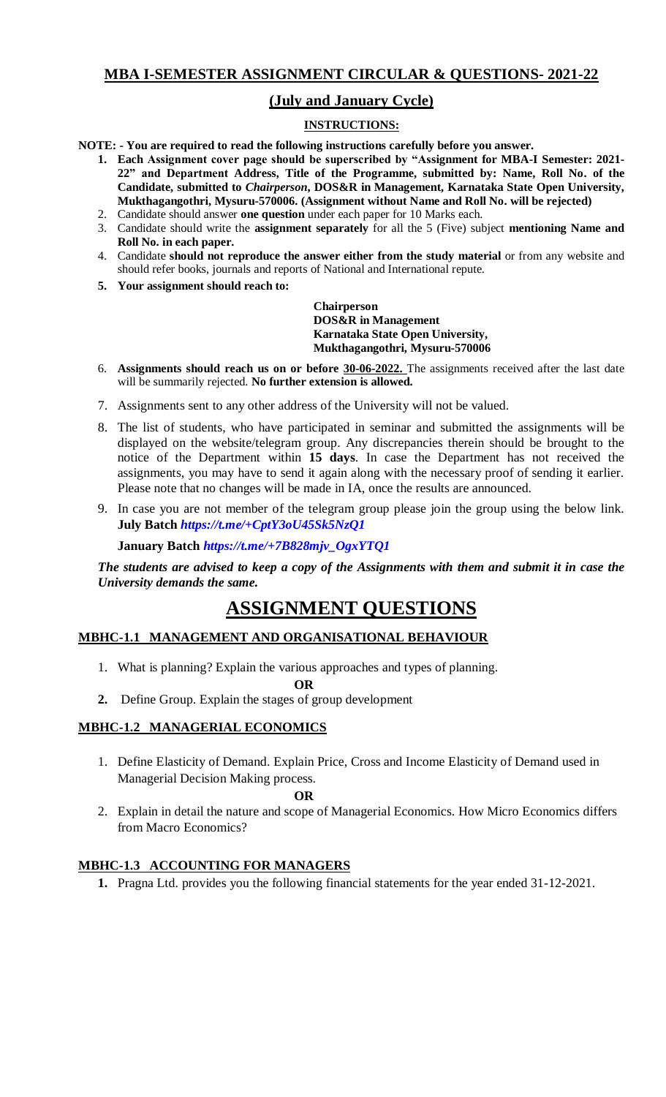# **MBA I-SEMESTER ASSIGNMENT CIRCULAR & QUESTIONS- 2021-22**

# **(July and January Cycle)**

## **INSTRUCTIONS:**

**NOTE: - You are required to read the following instructions carefully before you answer.**

- **1. Each Assignment cover page should be superscribed by "Assignment for MBA-I Semester: 2021- 22" and Department Address, Title of the Programme, submitted by: Name, Roll No. of the Candidate, submitted to** *Chairperson***, DOS&R in Management, Karnataka State Open University, Mukthagangothri, Mysuru-570006. (Assignment without Name and Roll No. will be rejected)**
- 2. Candidate should answer **one question** under each paper for 10 Marks each.
- 3. Candidate should write the **assignment separately** for all the 5 (Five) subject **mentioning Name and Roll No. in each paper.**
- 4. Candidate **should not reproduce the answer either from the study material** or from any website and should refer books, journals and reports of National and International repute.
- **5. Your assignment should reach to:**

**Chairperson DOS&R in Management Karnataka State Open University, Mukthagangothri, Mysuru-570006**

- 6. **Assignments should reach us on or before 30-06-2022.** The assignments received after the last date will be summarily rejected. **No further extension is allowed.**
- 7. Assignments sent to any other address of the University will not be valued.
- 8. The list of students, who have participated in seminar and submitted the assignments will be displayed on the website/telegram group. Any discrepancies therein should be brought to the notice of the Department within **15 days**. In case the Department has not received the assignments, you may have to send it again along with the necessary proof of sending it earlier. Please note that no changes will be made in IA, once the results are announced.
- 9. In case you are not member of the telegram group please join the group using the below link. **July Batch** *[https://t.me/+CptY3oU45Sk5NzQ1](https://t.me/+CptY3oU45Sk5NzQ1%200)*

**January Batch** *[https://t.me/+7B828mjv\\_OgxYTQ1](https://t.me/+7B828mjv_OgxYTQ1)*

*The students are advised to keep a copy of the Assignments with them and submit it in case the University demands the same.*

# **ASSIGNMENT QUESTIONS**

### **MBHC-1.1 MANAGEMENT AND ORGANISATIONAL BEHAVIOUR**

1. What is planning? Explain the various approaches and types of planning.

#### **OR 2.** Define Group. Explain the stages of group development

# **MBHC-1.2 MANAGERIAL ECONOMICS**

1. Define Elasticity of Demand. Explain Price, Cross and Income Elasticity of Demand used in Managerial Decision Making process.

#### **OR**

2. Explain in detail the nature and scope of Managerial Economics. How Micro Economics differs from Macro Economics?

#### **MBHC-1.3 ACCOUNTING FOR MANAGERS**

**1.** Pragna Ltd. provides you the following financial statements for the year ended 31-12-2021.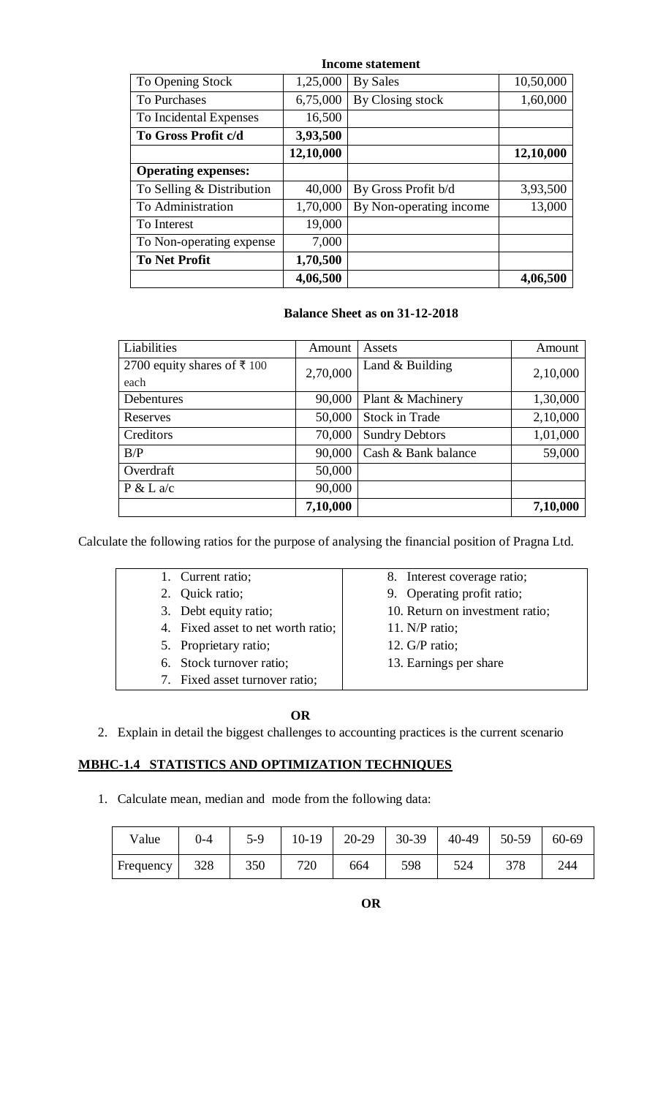| Income statement           |           |                         |           |  |  |  |  |  |  |
|----------------------------|-----------|-------------------------|-----------|--|--|--|--|--|--|
| To Opening Stock           | 1,25,000  | <b>By Sales</b>         | 10,50,000 |  |  |  |  |  |  |
| <b>To Purchases</b>        | 6,75,000  | By Closing stock        | 1,60,000  |  |  |  |  |  |  |
| To Incidental Expenses     | 16,500    |                         |           |  |  |  |  |  |  |
| To Gross Profit c/d        | 3,93,500  |                         |           |  |  |  |  |  |  |
|                            | 12,10,000 |                         | 12,10,000 |  |  |  |  |  |  |
| <b>Operating expenses:</b> |           |                         |           |  |  |  |  |  |  |
| To Selling & Distribution  | 40,000    | By Gross Profit b/d     | 3,93,500  |  |  |  |  |  |  |
| To Administration          | 1,70,000  | By Non-operating income | 13,000    |  |  |  |  |  |  |
| To Interest                | 19,000    |                         |           |  |  |  |  |  |  |
| To Non-operating expense   | 7,000     |                         |           |  |  |  |  |  |  |
| <b>To Net Profit</b>       | 1,70,500  |                         |           |  |  |  |  |  |  |
|                            | 4,06,500  |                         | 4,06,500  |  |  |  |  |  |  |

#### **Balance Sheet as on 31-12-2018**

| Liabilities                 | Amount   | Assets                | Amount   |
|-----------------------------|----------|-----------------------|----------|
| 2700 equity shares of ₹ 100 | 2,70,000 | Land $&$ Building     | 2,10,000 |
| each                        |          |                       |          |
| Debentures                  | 90,000   | Plant & Machinery     | 1,30,000 |
| Reserves                    | 50,000   | <b>Stock in Trade</b> | 2,10,000 |
| Creditors                   | 70,000   | <b>Sundry Debtors</b> | 1,01,000 |
| B/P                         | 90,000   | Cash & Bank balance   | 59,000   |
| Overdraft                   | 50,000   |                       |          |
| P & L a/c                   | 90,000   |                       |          |
|                             | 7,10,000 |                       | 7,10,000 |

Calculate the following ratios for the purpose of analysing the financial position of Pragna Ltd.

| 1. Current ratio;                  | 8. Interest coverage ratio;     |
|------------------------------------|---------------------------------|
| 2. Quick ratio;                    | 9. Operating profit ratio;      |
| 3. Debt equity ratio;              | 10. Return on investment ratio; |
| 4. Fixed asset to net worth ratio; | 11. $N/P$ ratio;                |
| 5. Proprietary ratio;              | 12. $G/P$ ratio;                |
| 6. Stock turnover ratio;           | 13. Earnings per share          |
| 7. Fixed asset turnover ratio;     |                                 |

#### **OR**

2. Explain in detail the biggest challenges to accounting practices is the current scenario

## **MBHC-1.4 STATISTICS AND OPTIMIZATION TECHNIQUES**

1. Calculate mean, median and mode from the following data:

| Value     | $0 - 4$ | $5-9$ | $10-19$ | 20-29 | 30-39 | 40-49 | 50-59 | 60-69 |
|-----------|---------|-------|---------|-------|-------|-------|-------|-------|
| Frequency | 328     | 350   | 720     | 664   | 598   | 524   | 378   | 244   |